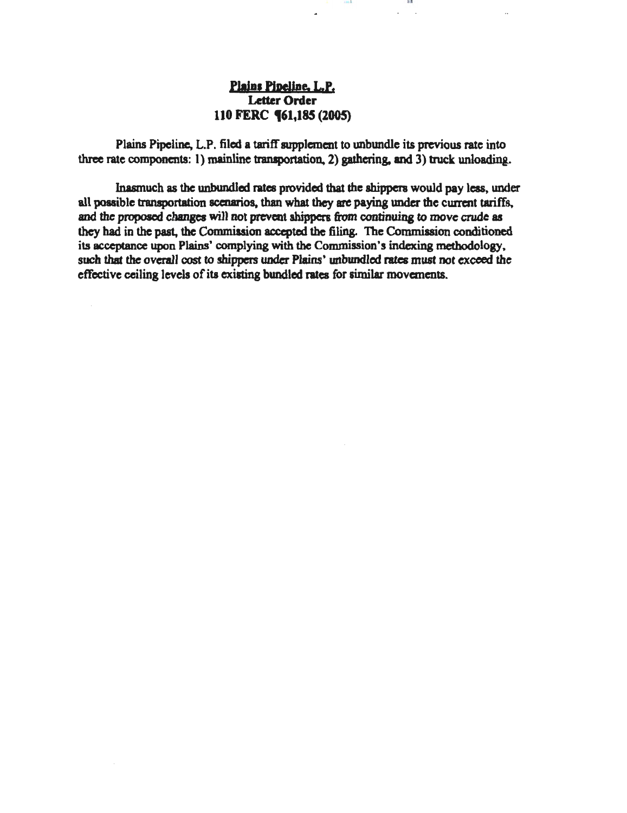# Plains Pipeline, L.P. Letter Order 110 FERC **(61,185 (2005)**

Plains Pipeline, L.P. filed a tariff supplement to unbundle its previous rate into three rate components: 1) mainline transportation, 2) gathering, and  $3$ ) truck unloading.

10 1 I I U

Inasmuch as the unbundled rates provided that the shippers would pay leas, under all possible transportation scenarios, than what they are paying under the current tariffs. and the proposed changes will not prevent shippers from continuing to move crude as they had in the past, the Commission accepted the filing. The Commission conditioned its acceptance upon Plains' complying with the Commission's indexing methodology, such that the overall cost to shippers under Plains' unbundled rates must not exceed the effective ceiling levels of its existing bundled rates for similar movements.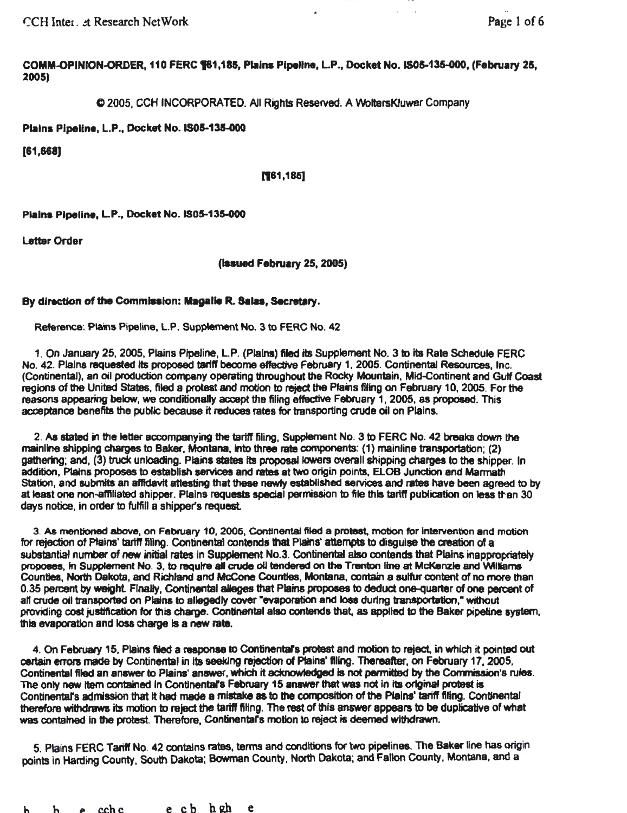r:::CH Inten . .!t Research NetWork Page 1 of6

COMM-OPINION-ORDER. 110 FERC 181,185, Plains Pipeline, L.P., Docket No. IS05-135-000, (February 25, 2005)

C 2005, CCH INCORPORATED. All Rights Reserved. A WoltersKJuwer Company

Plains Pipeline, L.P., Docket No. IS05-135-000

[61,668]

#### [181,185]

Plains Pipeline, L.P., Docket No. IS05-135-000

Letter Order

(Issued February 25, 2005)

## By direction of the Commission: Magalie R. Salas, Secretary.

Reference: Plains Pipeline, L.P. Supplement No. 3 to FERC No. 42

1. On January 25, 2005, Plains PlpeJine, l.P. (Plains) filed its Supplement No. 3 to Ita Rate Schedule FERC No. 42. Plains requested Its proposed tariff beoome effective February 1, 2005. Continental Resources, Inc. (Continental), an oil production company operating throughout the Rocky Mountain, Mid-Continent and Gutt Coast regions of the United States, filed a protest and motion to reject the Plains filing on February 10, 2005. For the reasons appearing below, we conditionally accept the filing effective February 1, 2005, as proposed. This acceptance benefits the public because it reduces rates for transporting aude oil on Plains.

2. As stated in the letter accompanying the tariff filing, Supplement No. 3 to FERC No. 42 breaks down the mainline shipping charges to Baker, Montana, Into three rate components: (1) mainline transportation; (2) gathering; and, (3) truck unloading. Plains states its proposal lowers overall shipping charges to the shipper. In addition, Plains proposes to establish services and rates at two origin points, ELOB Junction and Marmath Station, and submits an affidavit attesting that these newly established services and rates have been agreed to by at least one non-affiliated shipper. Plains requests special permission to file this tariff publication on less than 30 days notice, In order to fulfill a shipper's request

3. As mentioned above, on February 10,2005, Continental flied a protest. motion for Intervention and motiOn for rejection of Ptains' tarttf filing. Continental contends that Plains' attempts to disguise the creation of a substantial number of new initial rates in Supplement No.3. Continental also contends that Plains inappropriately proposes, in Supplement No. 3, to require all crude oil tendered on the Trenton line at McKenzie and Williams Counties, Nofth Dakota, and Richtand and McCone Counties, Montana, contain a sulfur content of no more than 0.35 percent by weight. Finally, Continental alleges that Plains proposes to deduct one-quarter of one percent of all crude oil transported on Plains to allegedly cover "evaporation and loss during transportation," without providing cost justification for this charge. Continental also contends that, as applied to the Baker pipeline system, this evaporation and loss charge is a new rate.

4. On February 15, Plains filed a response to Continental's protest and motion to reject, in which it pointed out certain errors made by Continental in its seeking rejection of Plains' filing. Thereafter, on February 17, 2005, Continental filed an answer to Plains' answer, which it acknowledged is not permitted by the Commission's rules. The only new item contained in Continental's February 15 answer that was not in its original protest is Continental's admission that it had made a mistake as to the composition of the Plains' tariff fifing. Continental therefore withdraws its motion to reject the tariff filing. The rest of this answer appears to be duplicative of what was contained in the protest. Therefore, Continentars motion to reject is deemed withdrawn.

5. Plains FERC Tariff No. 42 contains rates, terms and conditions for two pipelines. The Baker line has origin points in Harding County, South Dakota; Bowman County, North Dakota; and Fallon County, Montana, and a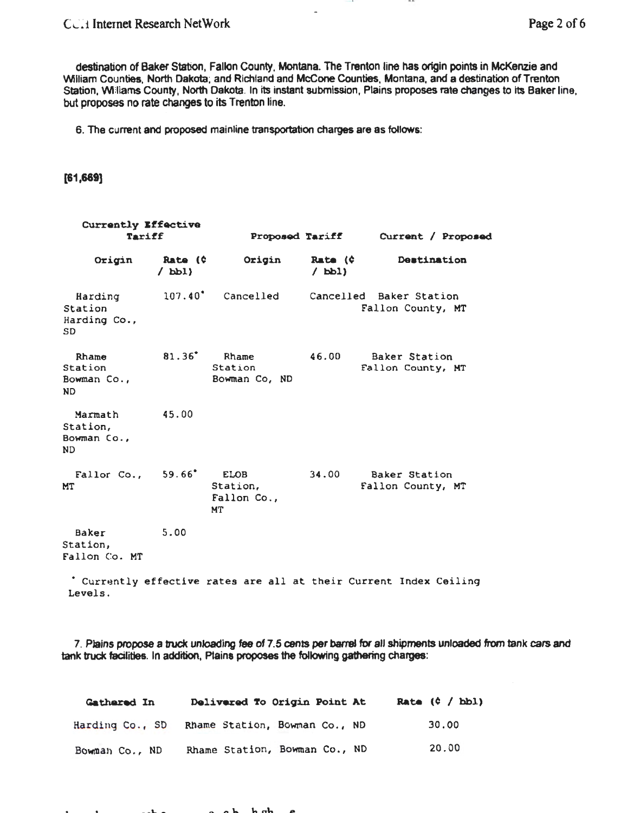## CCH Internet Research NetWork Page 2 of 6

destination of Baker Station, Fallon County, Montana. The Trenton line has origin points in McKenzie and William Counties, North Dakota; and Richland and McCone Counties, Montana, and a destination of Trenton Station, Williams County, North Dakota. In its instant submission, Plains proposes rate changes to its Baker line, but proposes no rate changes to its Trenton line.

 $\tilde{\phantom{a}}$ 

. .

6. The cunent and proposed mainline transportation charges are as follows:

[61 ,669]

| Currently Effective<br>Tariff            |                                    |                                      | <b>Proposed Tariff</b>       | Current / Proposed                                                 |  |  |
|------------------------------------------|------------------------------------|--------------------------------------|------------------------------|--------------------------------------------------------------------|--|--|
| Origin                                   | Rate (¢<br>$\Delta$ <sub>pp1</sub> | Origin                               | Rate $(\hat{c})$<br>$/$ bbl) | Destination                                                        |  |  |
| Harding<br>Station<br>Harding Co.,<br>SD |                                    | 107.40° Cancelled                    |                              | Cancelled Baker Station<br>Fallon County, MT                       |  |  |
| Rhame<br>Station<br>Bowman Co.,<br>ND    | $81.36^*$                          | Rhame<br>Station<br>Bowman Co, ND    | 46.00                        | Baker Station<br>Fallon County, MT                                 |  |  |
| Marmath<br>Station,<br>Bowman Co.,<br>ND | 45.00                              |                                      |                              |                                                                    |  |  |
| Fallor Co., 59.66° ELOB<br>MТ            |                                    | Station,<br>Fallon Co.,<br><b>MT</b> | 34.00                        | Baker Station<br>Fallon County, MT                                 |  |  |
| Baker<br>Station,<br>Fallon Co. MT       | 5.00                               |                                      |                              |                                                                    |  |  |
| Levels.                                  |                                    |                                      |                              | * Currently effective rates are all at their Current Index Ceiling |  |  |

7. Plains propose a truck unloading fee of 7.5 cents per barrel for all shipments unloaded from tank cars and tank truck facilities. In addition, Plains proposes the following gathering charges:

| Gathered In     | Delivered To Origin Point At  |  | Rate $(0 / bbl)$ |
|-----------------|-------------------------------|--|------------------|
| Harding Co., SD | Rhame Station, Bowman Co., ND |  | 30.00            |
| Bowman Co., ND  | Rhame Station, Bowman Co., ND |  | 20.00            |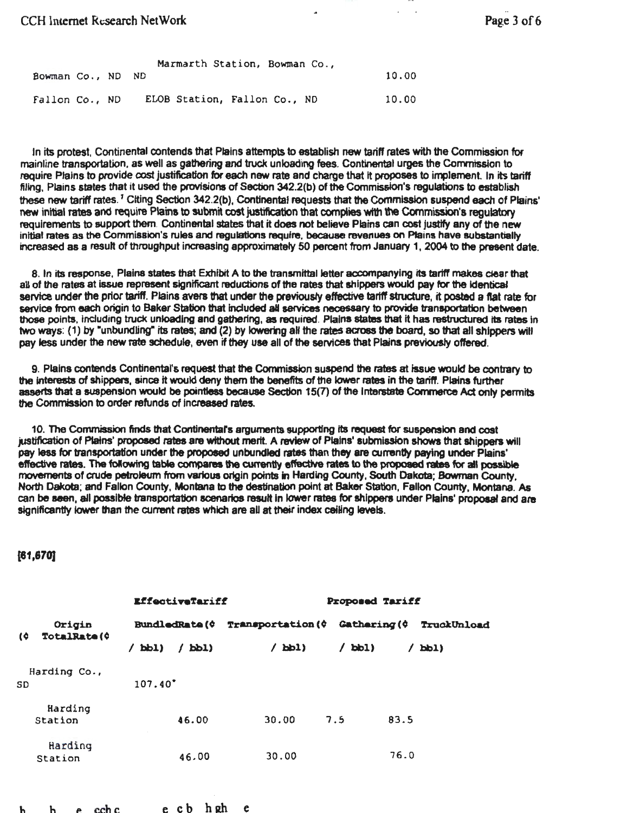## CCH Internet Research NetWork

| Bowman Co., ND ND |  | Marmarth Station, Bowman Co., | 10.00 |
|-------------------|--|-------------------------------|-------|
| Fallon Co., ND    |  | ELOB Station, Fallon Co., ND  | 10.00 |

In its protest, Continental oontends that Plains attempts to establish new tariff rates with the Commission for mainline transportation, as well as gathering and truck unloading fees. Continental urges the Commission to require Plains to provide cost justification for each new rate and charge that It proposes to implement In its tariff filing, Plains states that it used the provisions of Section 342.2(b) of the Commission's regulations to establish these new tariff *rates.* <sup>1</sup>Citing Section 342.2(b), Continental requests that the Commission suspend *each* of Plains' new initial rates and require Plains to submit cost justification that complies with the Commission's requiatory requirements to support them. Continental states that it does not believe Plains can cost justify any of the new initial rates as the Commission's rules and regulations require, because revenues on Plains have substantially increased as a result of throughput increasing approximately 50 percent from January 1, 2004 to the present date.

8. In its response, Plains states that Exhibit A to the transmittal letter accompanying its tariff makes dear that all of the rates at issue represent significant reductions of the rates that shippers would pay for the identical service under the prior tariff. Plains avers that under the previously effective tariff structure, it posted a flat rate for service from each origin to Baker Station that included all services necessary to provide transportation between those points, including truck unloading and gathering, as required. Plains states that it has restructured its rates in two ways: (1) by "unbundling" its rates; and (2) by lowering all the rates across the board, so that all shippers will pay less under the new rate schedule, even if they use all of the services that Plains previously offered.

9. Plains contends Continental's request that the Commission suspend the rates at issue would be contrary to the Interests of shippers, since it would deny them the benefits of the lower rates in the tariff. Plains further asserts that a suspension would be pointless because Section 15(7) of the Interstate Commerce Act only permits the Commission to order refunds of Increased rates.

10. The Commission finds that Continental's arguments supporting its request for suspension and cost justification of Plains' proposed rates are without merit. A review of Plains' submission shows that shippers will pay less for transportation under the proposed unbundled rates than they are currently paying under Plains' effective rates. The following table compares the currently effective rates to the proposed rates for all possible movements of crude petroleum from various origin points in Harding County, South Dakota; Sowman County. North Dakota; and Fallon County, Montana to the destination point at Baker Station, Fallon County, Montana. As can be seen, all possible transportation scenarios result in lower rates for shippers under Plains' proposal and are significantly lower than the current rates which are all at their index ceiling levels.

## (81,870)

|                                            |                    |                       | EffectiveTariff |                                                                       | <b>Proposed Tariff</b> |               |             |  |  |
|--------------------------------------------|--------------------|-----------------------|-----------------|-----------------------------------------------------------------------|------------------------|---------------|-------------|--|--|
| Origin<br><b>TotalRate (0</b><br>$\bullet$ |                    | <b>BundledRate</b> (¢ |                 | <b>Transportation (<math>\phi</math> Gathering (<math>\phi</math></b> |                        |               | TruckUnload |  |  |
|                                            |                    | bbl)                  | $\sqrt{PPI}$    | $/$ bbl)                                                              | bb1)<br>$\prime$       | $\angle$ bbl) |             |  |  |
| SD                                         | Harding Co.,       | $107.40^*$            |                 |                                                                       |                        |               |             |  |  |
|                                            | Harding<br>Station |                       | 46.00           | 30.00                                                                 | 7.5                    | 83.5          |             |  |  |
|                                            | Harding<br>Station |                       | 46.00           | 30.00                                                                 |                        | 76.0          |             |  |  |

h h e cch c e cb hRh e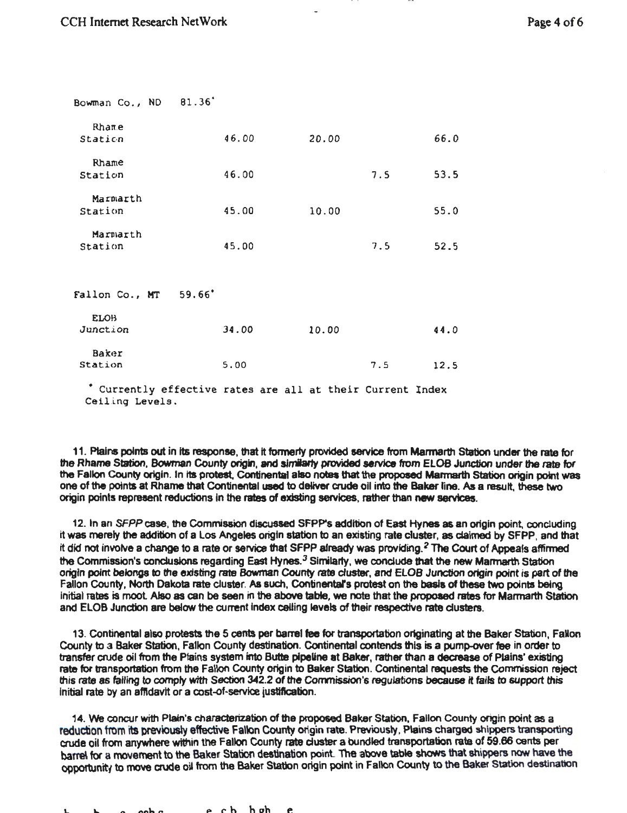| Bowman Co., ND      | 81.36                                                      |       |  |       |     |      |  |
|---------------------|------------------------------------------------------------|-------|--|-------|-----|------|--|
| Rhame<br>Station    |                                                            | 46.00 |  | 20.00 |     | 66.0 |  |
| Rhame<br>Station    |                                                            | 46.00 |  |       | 7.5 | 53.5 |  |
|                     |                                                            |       |  |       |     |      |  |
| Marmarth<br>Station |                                                            | 45.00 |  | 10.00 |     | 55.0 |  |
| Marmarth<br>Station |                                                            | 45.00 |  |       | 7.5 | 52.5 |  |
| Fallon Co., MT      | 59.66                                                      |       |  |       |     |      |  |
| <b>ELOB</b>         |                                                            |       |  |       |     |      |  |
| Junction            |                                                            | 34.00 |  | 10.00 |     | 44.0 |  |
| Baker               |                                                            |       |  |       |     |      |  |
| Station             |                                                            | 5.00  |  |       | 7.5 | 12.5 |  |
| Ceiling Levels.     | * Currently effective rates are all at their Current Index |       |  |       |     |      |  |

11. Ptains points out in its response, that it formerly provided service from Marmarth Station under the rate for the Rhame Station, Bowman County origin, and similarly provided service from ELOB Junction under the rate for the Fallon County origin. In Its protest, Continental also notes that the proposed Marmarth Station origin point was one of the points at Rhame that Continental used to deliver crude oil into the Baker line. As a result, these two origin points represent reductions in the rates of existing services, rather than new services.

12. In an SFPPcase. the Commission discussed SFPP's addition of East Hynes as an origin point, concluding it was merely the addition of a los Angeles origin station to an existing rate cluster, as claimed by SFPP. and that it did not involve a change to a rate or service that SFPP already was providing. *2* The Court of Appeals affinned the Commission's conclusions regarding East Hynes.<sup>3</sup> Similarly, we conclude that the new Marmarth Station origin point belongs to the existing rate Bowman County rate duster, and ELOB Junction origin point is part of the Fallon County. North Dakota rate cluster. *As* such, Continental's protest on the basis of these two points being initial rates is moot Also as can be seen in the above table, we note that the proposed rates for Marmarth Station and ELOB Junction are below the current index ceiling levels of their respective rate clusters.

13. Continental also protests the 5 cents per barrel fee for transportation originating at the Baker Station, Fallon County to a Baker Station. Fallon County destination. Continental contends this is a pump-over fee in order to transfer crude oil from the Plains system into Butte pipeline at Baker, rather than a decrease of Plains' existing rate for transportation from the Fallon County origin to Baker Station. Continental requests the Commission reject this rate as failing to comply with Section 342.2 of the Commission's regulations because it fails to support this initial rate by an affidavit or a cost-of-service justification.

14. We concur with Plain's characterization of the proposed Baker Station, Fallon County origin point as a reduction from its previously effective Fallon County origin rate. Previously, Plains charged shippers transporting crude oil from anywhere within the Fallon County rate cluster a bundled transportation rate of 59.86 cents per barre\ for a movement to the Baker Station destination point The above tab\e shows that shippers now have the opportunity to move crude oil from the Baker Station origin point in Fallon County to the Baker Station destination

c p rh h ah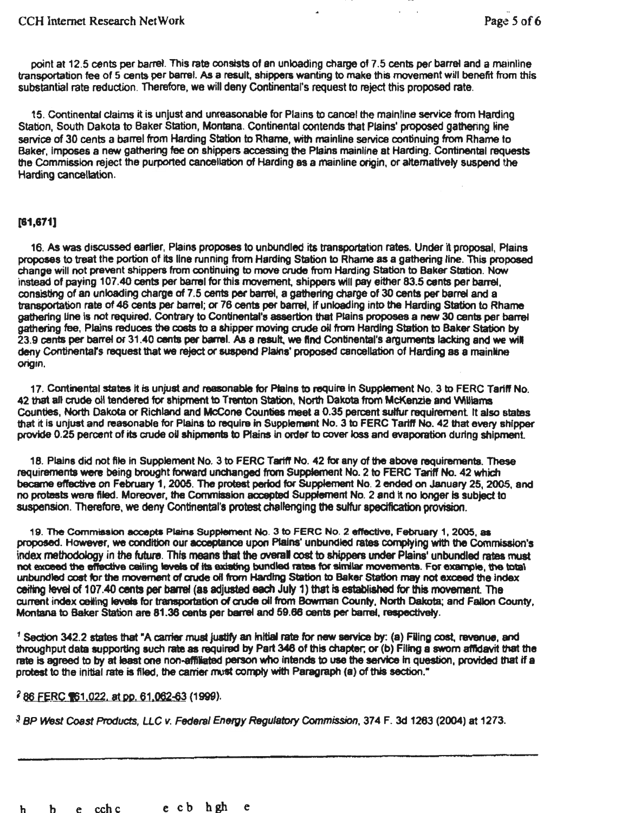point at 12.5 cents per barrel. This rate consists of an unloading charge of 7.5 cents per barrel and a mainline transportation fee of 5 cents per barrel. As a result, shippers wanting to make this movement will benefit from this substantial rate reduction. Therefore, we will deny Continental's request to reject this proposed rate.

15. Continental claims it is unjust and unreasonable for Plains to cancel the mainline service from Harding Station, South Dakota to Baker Station, Montana. Continental contends that Plains' proposed gathering line service of 30 cents a barrel from Harding Station to Rhame, with mainline service continuing from Rhame to Baker, Imposes a new gathering fee on shippers accessing the Plains mainline at Harding. Continental requests the Commission reject the purported cancellation of Harding as a mainline origin, or alternatively suspend the Harding cancellation.

## [81,671)

16. As was discussed ear11er, Plains proposes to unbundled its transportation rates. Under it proposal, Plains proposes to treat the portion of Its line running from Harding Station to Rhame as a gathering line. This proposed change will not prevent shippers from continuing to move crude from Harding Station to Baker Station. Now Instead of paying 107.40 cents per barrel for this movement, shippers will pay either 83.5 cents per barrel, consisting of an unloading charge of 7.5 cents per barrel, a gathering charge of 30 cents per barrel and a transportation rate of 46 cents per barrel; or 76 cents per barrel, if unloading into the Harding Station to Rhame gathering line is not required. Contrary to Continental's assertion that Plains proposes a new 30 cents per barrel gathering fee, PlaJns reduces the coats to a shipper moving crude oil from Harding Station to Baker Station by 23.9 cents per barrel Of 31.40 cents per barrel. As a result. we ftnd Continental's arguments lacking and we wil deny Continental's request that we reject or suspend Plains' proposed cancellation of Harding as a mainline origin.

17. Continental states it is unjust and reasonable for Plains to require in Supplement No. 3 to FERC Tariff No. 42 that all crude oil tendered for shipment to Trenton Station, North Dakota from McKenzie and Williams Counties, North Dakota or Richland and McCone Counties meet a 0.35 percent sulfur requirement It aJso states that it Is unjust and reasonable for Plains to require in Supplement No. 3 to FERC Tariff No. 42 that every shipper provide 0.25 percent of its crude oil shipments to Plains in order to cover loss and evaporation during shipment.

18. Plains did not file in Supplement No. 3 to FERC Tariff No. 42 for any of the above requirements. These requirements were being brought forward unchanged from Supplement No. 2 to FERC Tariff No. 42 which became eftective on February 1, 2006. The protest period for Supplement No. 2 ended on January 25, 2005, and no protests were filed. Moreover, the Commission accepted Supplement No. 2 and it no longer is subject to suspension. Therefore, we deny Continental's protest challenging the sulfur spedfication provision.

19. The Commission accepts Plains Supplement No. 3 to FERC No. 2 effective, February 1, 2005, as proposed. However, we condition our acceptance upon Plains' unbundled rates complying with the Commission's index methodology in the future. This means that the overall cost to shippers under Plains' unbundled rates must not exceed the effective ceiling leyels of its existing bundled rates for similar movements. For example, the total unbundled cost for the movement of aude oft from Harding Station to Baker Station may not exceed the Index ceiting level of 107.40 cents per barrel (as adjusted each July 1) that is established for this movement. The current index ceiling levels for transportation of crude oil from Bowman County, North Dakota; and Fallon County, Montana to Baker Station are 81.36 cents per barrel and 59.66 cents per barrel, respectively.

 $1$  Section 342.2 states that "A carrier must justify an initial rate for new service by: (a) Filing cost, revenue, and throughput data supporting such rate as required by Part 346 of this chapter; or (b) Filing a sworn atndavit that the rate is agreed to by at least one non-affiliated person who intends to use the service in question, provided that if a protest to the initial rate is filed, the carrier must comply with Paragraph (a) of this section."

## <sup>2</sup> 86 FERC 161,022, at pp. 61,062-63 (1999).

<sup>~</sup>BP *West* Coast Products, LLC *v.* Federal Energy Regulatory Commission, 374 F. 3d 1263 (2004) at 1273.